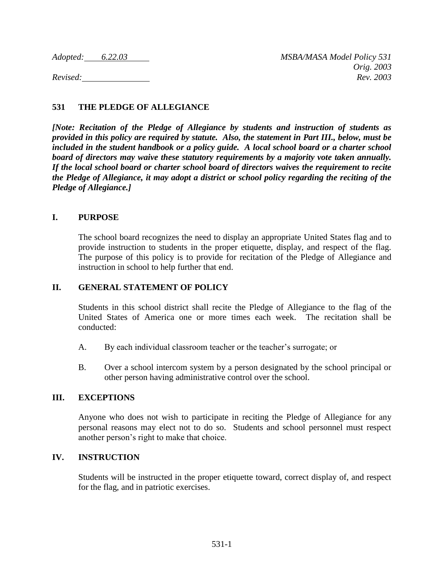# **531 THE PLEDGE OF ALLEGIANCE**

*[Note: Recitation of the Pledge of Allegiance by students and instruction of students as provided in this policy are required by statute. Also, the statement in Part III., below, must be included in the student handbook or a policy guide. A local school board or a charter school board of directors may waive these statutory requirements by a majority vote taken annually. If the local school board or charter school board of directors waives the requirement to recite the Pledge of Allegiance, it may adopt a district or school policy regarding the reciting of the Pledge of Allegiance.]*

## **I. PURPOSE**

The school board recognizes the need to display an appropriate United States flag and to provide instruction to students in the proper etiquette, display, and respect of the flag. The purpose of this policy is to provide for recitation of the Pledge of Allegiance and instruction in school to help further that end.

## **II. GENERAL STATEMENT OF POLICY**

Students in this school district shall recite the Pledge of Allegiance to the flag of the United States of America one or more times each week. The recitation shall be conducted:

- A. By each individual classroom teacher or the teacher's surrogate; or
- B. Over a school intercom system by a person designated by the school principal or other person having administrative control over the school.

## **III. EXCEPTIONS**

Anyone who does not wish to participate in reciting the Pledge of Allegiance for any personal reasons may elect not to do so. Students and school personnel must respect another person's right to make that choice.

### **IV. INSTRUCTION**

Students will be instructed in the proper etiquette toward, correct display of, and respect for the flag, and in patriotic exercises.